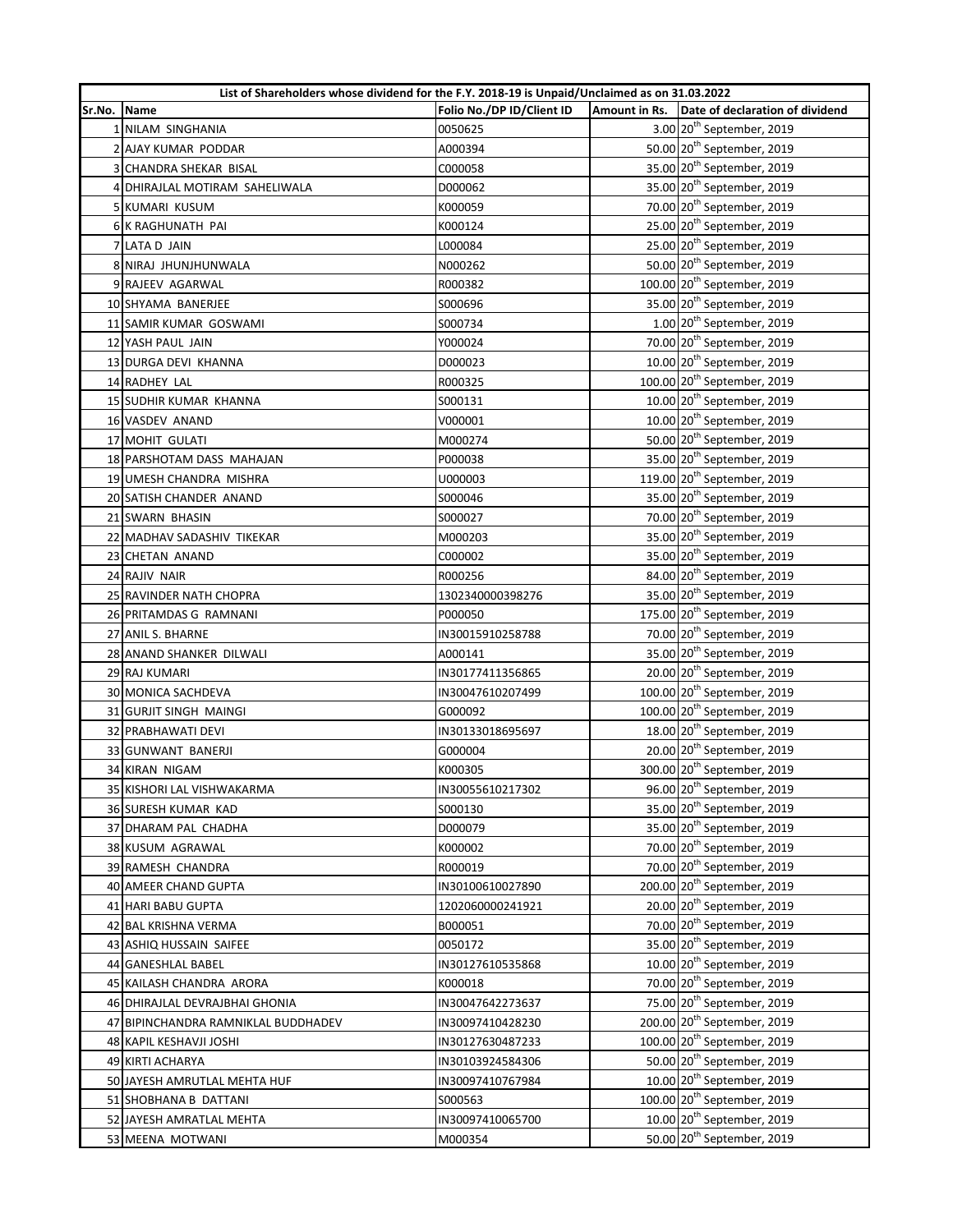|        | List of Shareholders whose dividend for the F.Y. 2018-19 is Unpaid/Unclaimed as on 31.03.2022 |                           |  |                                               |  |
|--------|-----------------------------------------------------------------------------------------------|---------------------------|--|-----------------------------------------------|--|
| Sr.No. | Name                                                                                          | Folio No./DP ID/Client ID |  | Amount in Rs. Date of declaration of dividend |  |
|        | 1 NILAM SINGHANIA                                                                             | 0050625                   |  | 3.00 20 <sup>th</sup> September, 2019         |  |
|        | 2 AJAY KUMAR PODDAR                                                                           | A000394                   |  | 50.00 20 <sup>th</sup> September, 2019        |  |
|        | 3 CHANDRA SHEKAR BISAL                                                                        | C000058                   |  | 35.00 20 <sup>th</sup> September, 2019        |  |
|        | 4 DHIRAJLAL MOTIRAM SAHELIWALA                                                                | D000062                   |  | 35.00 20 <sup>th</sup> September, 2019        |  |
|        | 5 KUMARI KUSUM                                                                                | K000059                   |  | 70.00 20 <sup>th</sup> September, 2019        |  |
|        | 6 K RAGHUNATH PAI                                                                             | K000124                   |  | 25.00 20 <sup>th</sup> September, 2019        |  |
|        | 7 LATA D JAIN                                                                                 | L000084                   |  | 25.00 20 <sup>th</sup> September, 2019        |  |
|        | 8 NIRAJ JHUNJHUNWALA                                                                          | N000262                   |  | 50.00 20 <sup>th</sup> September, 2019        |  |
|        | 9 RAJEEV AGARWAL                                                                              | R000382                   |  | 100.00 20 <sup>th</sup> September, 2019       |  |
|        | 10 SHYAMA BANERJEE                                                                            | S000696                   |  | 35.00 20 <sup>th</sup> September, 2019        |  |
|        | 11 SAMIR KUMAR GOSWAMI                                                                        | S000734                   |  | $1.00$ $20th$ September, 2019                 |  |
|        | 12 YASH PAUL JAIN                                                                             | Y000024                   |  | 70.00 20 <sup>th</sup> September, 2019        |  |
|        | 13 DURGA DEVI KHANNA                                                                          | D000023                   |  | 10.00 20 <sup>th</sup> September, 2019        |  |
|        | 14 RADHEY LAL                                                                                 | R000325                   |  | 100.00 20 <sup>th</sup> September, 2019       |  |
|        | 15 SUDHIR KUMAR KHANNA                                                                        | S000131                   |  | 10.00 20 <sup>th</sup> September, 2019        |  |
|        | 16 VASDEV ANAND                                                                               | V000001                   |  | 10.00 20 <sup>th</sup> September, 2019        |  |
|        | 17 MOHIT GULATI                                                                               | M000274                   |  | 50.00 20 <sup>th</sup> September, 2019        |  |
|        | 18 PARSHOTAM DASS MAHAJAN                                                                     | P000038                   |  | 35.00 20 <sup>th</sup> September, 2019        |  |
|        | 19 UMESH CHANDRA MISHRA                                                                       | U000003                   |  | 119.00 20 <sup>th</sup> September, 2019       |  |
|        | 20 SATISH CHANDER ANAND                                                                       | S000046                   |  | 35.00 20 <sup>th</sup> September, 2019        |  |
|        | 21 SWARN BHASIN                                                                               | S000027                   |  | 70.00 20 <sup>th</sup> September, 2019        |  |
|        | 22 MADHAV SADASHIV TIKEKAR                                                                    | M000203                   |  | 35.00 20 <sup>th</sup> September, 2019        |  |
|        | 23 CHETAN ANAND                                                                               | C000002                   |  | 35.00 20 <sup>th</sup> September, 2019        |  |
|        | 24 RAJIV NAIR                                                                                 | R000256                   |  | 84.00 20 <sup>th</sup> September, 2019        |  |
|        | 25 RAVINDER NATH CHOPRA                                                                       | 1302340000398276          |  | 35.00 20 <sup>th</sup> September, 2019        |  |
|        | 26 PRITAMDAS G RAMNANI                                                                        | P000050                   |  | 175.00 20 <sup>th</sup> September, 2019       |  |
|        | 27 ANIL S. BHARNE                                                                             | IN30015910258788          |  | 70.00 20 <sup>th</sup> September, 2019        |  |
|        | 28 ANAND SHANKER DILWALI                                                                      | A000141                   |  | 35.00 20 <sup>th</sup> September, 2019        |  |
|        | 29 RAJ KUMARI                                                                                 | IN30177411356865          |  | 20.00 20 <sup>th</sup> September, 2019        |  |
|        | 30 MONICA SACHDEVA                                                                            | IN30047610207499          |  | 100.00 20 <sup>th</sup> September, 2019       |  |
|        | 31 GURJIT SINGH MAINGI                                                                        | G000092                   |  | 100.00 20 <sup>th</sup> September, 2019       |  |
|        | 32 PRABHAWATI DEVI                                                                            | IN30133018695697          |  | 18.00 20 <sup>th</sup> September, 2019        |  |
|        | 33 GUNWANT BANERJI                                                                            | G000004                   |  | 20.00 20 <sup>th</sup> September, 2019        |  |
|        | 34 KIRAN NIGAM                                                                                | K000305                   |  | 300.00 20 <sup>th</sup> September, 2019       |  |
|        | 35 KISHORI LAL VISHWAKARMA                                                                    | IN30055610217302          |  | 96.00 20 <sup>th</sup> September, 2019        |  |
|        | 36 SURESH KUMAR KAD                                                                           | S000130                   |  | 35.00 20 <sup>th</sup> September, 2019        |  |
|        | 37 DHARAM PAL CHADHA                                                                          | D000079                   |  | 35.00 20 <sup>th</sup> September, 2019        |  |
|        | 38 KUSUM AGRAWAL                                                                              | K000002                   |  | 70.00 20 <sup>th</sup> September, 2019        |  |
|        | 39 RAMESH CHANDRA                                                                             | R000019                   |  | 70.00 20 <sup>th</sup> September, 2019        |  |
|        | 40 AMEER CHAND GUPTA                                                                          | IN30100610027890          |  | 200.00 20 <sup>th</sup> September, 2019       |  |
|        | 41 HARI BABU GUPTA                                                                            | 1202060000241921          |  | 20.00 20 <sup>th</sup> September, 2019        |  |
|        | 42 BAL KRISHNA VERMA                                                                          | B000051                   |  | 70.00 20 <sup>th</sup> September, 2019        |  |
|        | 43 ASHIQ HUSSAIN SAIFEE                                                                       | 0050172                   |  | 35.00 20 <sup>th</sup> September, 2019        |  |
|        |                                                                                               |                           |  | 10.00 20 <sup>th</sup> September, 2019        |  |
|        | 44 GANESHLAL BABEL<br>45 KAILASH CHANDRA ARORA                                                | IN30127610535868          |  | 70.00 20 <sup>th</sup> September, 2019        |  |
|        |                                                                                               | K000018                   |  | 75.00 20 <sup>th</sup> September, 2019        |  |
|        | 46 DHIRAJLAL DEVRAJBHAI GHONIA                                                                | IN30047642273637          |  | 200.00 20 <sup>th</sup> September, 2019       |  |
|        | 47 BIPINCHANDRA RAMNIKLAL BUDDHADEV                                                           | IN30097410428230          |  | 100.00 20 <sup>th</sup> September, 2019       |  |
|        | 48 KAPIL KESHAVJI JOSHI                                                                       | IN30127630487233          |  | 50.00 20 <sup>th</sup> September, 2019        |  |
|        | 49 KIRTI ACHARYA                                                                              | IN30103924584306          |  | 10.00 20 <sup>th</sup> September, 2019        |  |
|        | 50 JAYESH AMRUTLAL MEHTA HUF                                                                  | IN30097410767984          |  | 100.00 20 <sup>th</sup> September, 2019       |  |
|        | 51 SHOBHANA B DATTANI                                                                         | S000563                   |  | 10.00 20 <sup>th</sup> September, 2019        |  |
|        | 52 JAYESH AMRATLAL MEHTA                                                                      | IN30097410065700          |  |                                               |  |
|        | 53 MEENA MOTWANI                                                                              | M000354                   |  | 50.00 20 <sup>th</sup> September, 2019        |  |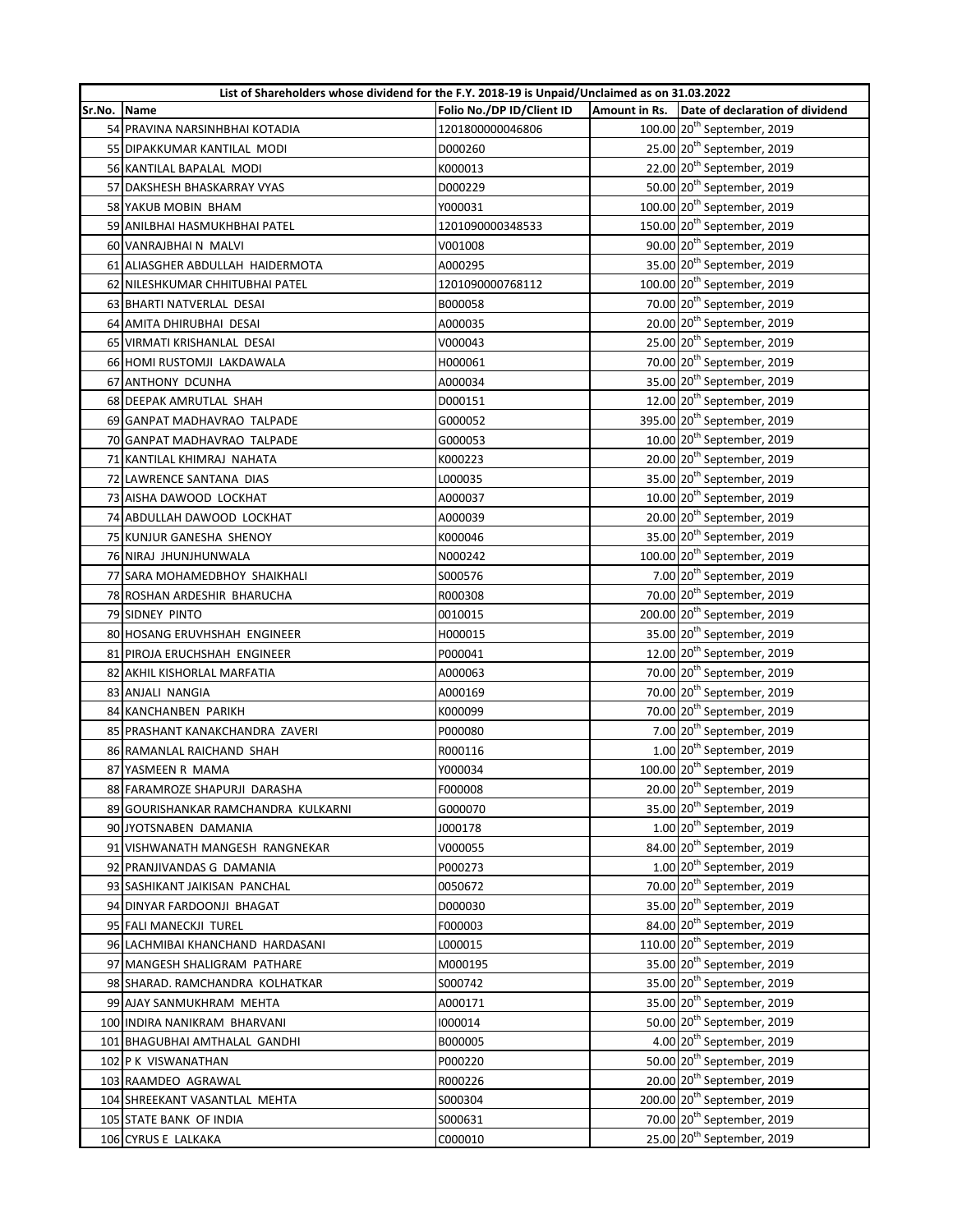|        | List of Shareholders whose dividend for the F.Y. 2018-19 is Unpaid/Unclaimed as on 31.03.2022 |                           |  |                                               |  |
|--------|-----------------------------------------------------------------------------------------------|---------------------------|--|-----------------------------------------------|--|
| Sr.No. | Name                                                                                          | Folio No./DP ID/Client ID |  | Amount in Rs. Date of declaration of dividend |  |
|        | 54 PRAVINA NARSINHBHAI KOTADIA                                                                | 1201800000046806          |  | 100.00 20 <sup>th</sup> September, 2019       |  |
|        | 55 DIPAKKUMAR KANTILAL MODI                                                                   | D000260                   |  | 25.00 20 <sup>th</sup> September, 2019        |  |
|        | 56 KANTILAL BAPALAL MODI                                                                      | K000013                   |  | 22.00 20 <sup>th</sup> September, 2019        |  |
|        | 57 DAKSHESH BHASKARRAY VYAS                                                                   | D000229                   |  | 50.00 20 <sup>th</sup> September, 2019        |  |
|        | 58 YAKUB MOBIN BHAM                                                                           | Y000031                   |  | 100.00 20 <sup>th</sup> September, 2019       |  |
|        | 59 ANILBHAI HASMUKHBHAI PATEL                                                                 | 1201090000348533          |  | 150.00 20 <sup>th</sup> September, 2019       |  |
|        | 60 VANRAJBHAI N MALVI                                                                         | V001008                   |  | 90.00 20 <sup>th</sup> September, 2019        |  |
|        | 61 ALIASGHER ABDULLAH HAIDERMOTA                                                              | A000295                   |  | 35.00 20 <sup>th</sup> September, 2019        |  |
|        | 62 NILESHKUMAR CHHITUBHAI PATEL                                                               | 1201090000768112          |  | 100.00 20 <sup>th</sup> September, 2019       |  |
|        | 63 BHARTI NATVERLAL DESAI                                                                     | B000058                   |  | 70.00 20 <sup>th</sup> September, 2019        |  |
|        | 64 AMITA DHIRUBHAI DESAI                                                                      | A000035                   |  | 20.00 20 <sup>th</sup> September, 2019        |  |
|        | 65 VIRMATI KRISHANLAL DESAI                                                                   | V000043                   |  | 25.00 20 <sup>th</sup> September, 2019        |  |
|        | 66 HOMI RUSTOMJI LAKDAWALA                                                                    | H000061                   |  | 70.00 20 <sup>th</sup> September, 2019        |  |
|        | 67 ANTHONY DCUNHA                                                                             | A000034                   |  | 35.00 20 <sup>th</sup> September, 2019        |  |
|        | 68 DEEPAK AMRUTLAL SHAH                                                                       | D000151                   |  | 12.00 20 <sup>th</sup> September, 2019        |  |
|        | 69 GANPAT MADHAVRAO TALPADE                                                                   | G000052                   |  | 395.00 20 <sup>th</sup> September, 2019       |  |
|        | 70 GANPAT MADHAVRAO TALPADE                                                                   | G000053                   |  | 10.00 20 <sup>th</sup> September, 2019        |  |
|        | 71 KANTILAL KHIMRAJ NAHATA                                                                    | K000223                   |  | 20.00 20 <sup>th</sup> September, 2019        |  |
|        | 72 LAWRENCE SANTANA DIAS                                                                      | L000035                   |  | 35.00 20 <sup>th</sup> September, 2019        |  |
|        | 73 AISHA DAWOOD LOCKHAT                                                                       | A000037                   |  | 10.00 20 <sup>th</sup> September, 2019        |  |
|        | 74 ABDULLAH DAWOOD LOCKHAT                                                                    | A000039                   |  | 20.00 20 <sup>th</sup> September, 2019        |  |
|        | 75 KUNJUR GANESHA SHENOY                                                                      | K000046                   |  | 35.00 20 <sup>th</sup> September, 2019        |  |
|        | 76 NIRAJ JHUNJHUNWALA                                                                         | N000242                   |  | 100.00 20 <sup>th</sup> September, 2019       |  |
|        | 77 SARA MOHAMEDBHOY SHAIKHALI                                                                 | S000576                   |  | 7.00 $20^{th}$ September, 2019                |  |
|        | 78 ROSHAN ARDESHIR BHARUCHA                                                                   | R000308                   |  | 70.00 20 <sup>th</sup> September, 2019        |  |
|        | 79 SIDNEY PINTO                                                                               | 0010015                   |  | 200.00 20 <sup>th</sup> September, 2019       |  |
|        | 80 HOSANG ERUVHSHAH ENGINEER                                                                  | H000015                   |  | 35.00 20 <sup>th</sup> September, 2019        |  |
|        | 81 PIROJA ERUCHSHAH ENGINEER                                                                  | P000041                   |  | 12.00 20 <sup>th</sup> September, 2019        |  |
|        | 82 AKHIL KISHORLAL MARFATIA                                                                   | A000063                   |  | 70.00 20 <sup>th</sup> September, 2019        |  |
|        | 83 ANJALI NANGIA                                                                              | A000169                   |  | 70.00 20 <sup>th</sup> September, 2019        |  |
|        | 84 KANCHANBEN PARIKH                                                                          | K000099                   |  | 70.00 20 <sup>th</sup> September, 2019        |  |
|        | 85 PRASHANT KANAKCHANDRA ZAVERI                                                               | P000080                   |  | 7.00 20 <sup>th</sup> September, 2019         |  |
|        | 86 RAMANLAL RAICHAND SHAH                                                                     | R000116                   |  | $1.00$ $20th$ September, 2019                 |  |
|        | 87 YASMEEN R MAMA                                                                             | Y000034                   |  | 100.00 20 <sup>th</sup> September, 2019       |  |
|        | 88 FARAMROZE SHAPURJI DARASHA                                                                 | F000008                   |  | 20.00 20 <sup>th</sup> September, 2019        |  |
|        | 89 GOURISHANKAR RAMCHANDRA KULKARNI                                                           | G000070                   |  | 35.00 20 <sup>th</sup> September, 2019        |  |
|        | 90 JYOTSNABEN DAMANIA                                                                         | J000178                   |  | $1.00$ $20th$ September, 2019                 |  |
|        | 91 VISHWANATH MANGESH RANGNEKAR                                                               | V000055                   |  | 84.00 20 <sup>th</sup> September, 2019        |  |
|        | 92 PRANJIVANDAS G DAMANIA                                                                     | P000273                   |  | $1.00$ 20 <sup>th</sup> September, 2019       |  |
|        | 93 SASHIKANT JAIKISAN PANCHAL                                                                 | 0050672                   |  | 70.00 20 <sup>th</sup> September, 2019        |  |
|        | 94 DINYAR FARDOONJI BHAGAT                                                                    | D000030                   |  | 35.00 20 <sup>th</sup> September, 2019        |  |
|        | 95 FALI MANECKJI TUREL                                                                        | F000003                   |  | 84.00 20 <sup>th</sup> September, 2019        |  |
|        | 96 LACHMIBAI KHANCHAND HARDASANI                                                              | L000015                   |  | 110.00 20 <sup>th</sup> September, 2019       |  |
|        | 97 MANGESH SHALIGRAM PATHARE                                                                  | M000195                   |  | 35.00 20 <sup>th</sup> September, 2019        |  |
|        | 98 SHARAD. RAMCHANDRA KOLHATKAR                                                               | S000742                   |  | 35.00 20 <sup>th</sup> September, 2019        |  |
|        | 99 AJAY SANMUKHRAM MEHTA                                                                      | A000171                   |  | 35.00 20 <sup>th</sup> September, 2019        |  |
|        | 100 INDIRA NANIKRAM BHARVANI                                                                  | 1000014                   |  | 50.00 20 <sup>th</sup> September, 2019        |  |
|        | 101 BHAGUBHAI AMTHALAL GANDHI                                                                 | B000005                   |  | 4.00 20 <sup>th</sup> September, 2019         |  |
|        | 102 P K VISWANATHAN                                                                           | P000220                   |  | 50.00 20 <sup>th</sup> September, 2019        |  |
|        | 103 RAAMDEO AGRAWAL                                                                           | R000226                   |  | 20.00 20 <sup>th</sup> September, 2019        |  |
|        | 104 SHREEKANT VASANTLAL MEHTA                                                                 | S000304                   |  | 200.00 20 <sup>th</sup> September, 2019       |  |
|        | 105 STATE BANK OF INDIA                                                                       | S000631                   |  | 70.00 20 <sup>th</sup> September, 2019        |  |
|        | 106 CYRUS E LALKAKA                                                                           | C000010                   |  | 25.00 20 <sup>th</sup> September, 2019        |  |
|        |                                                                                               |                           |  |                                               |  |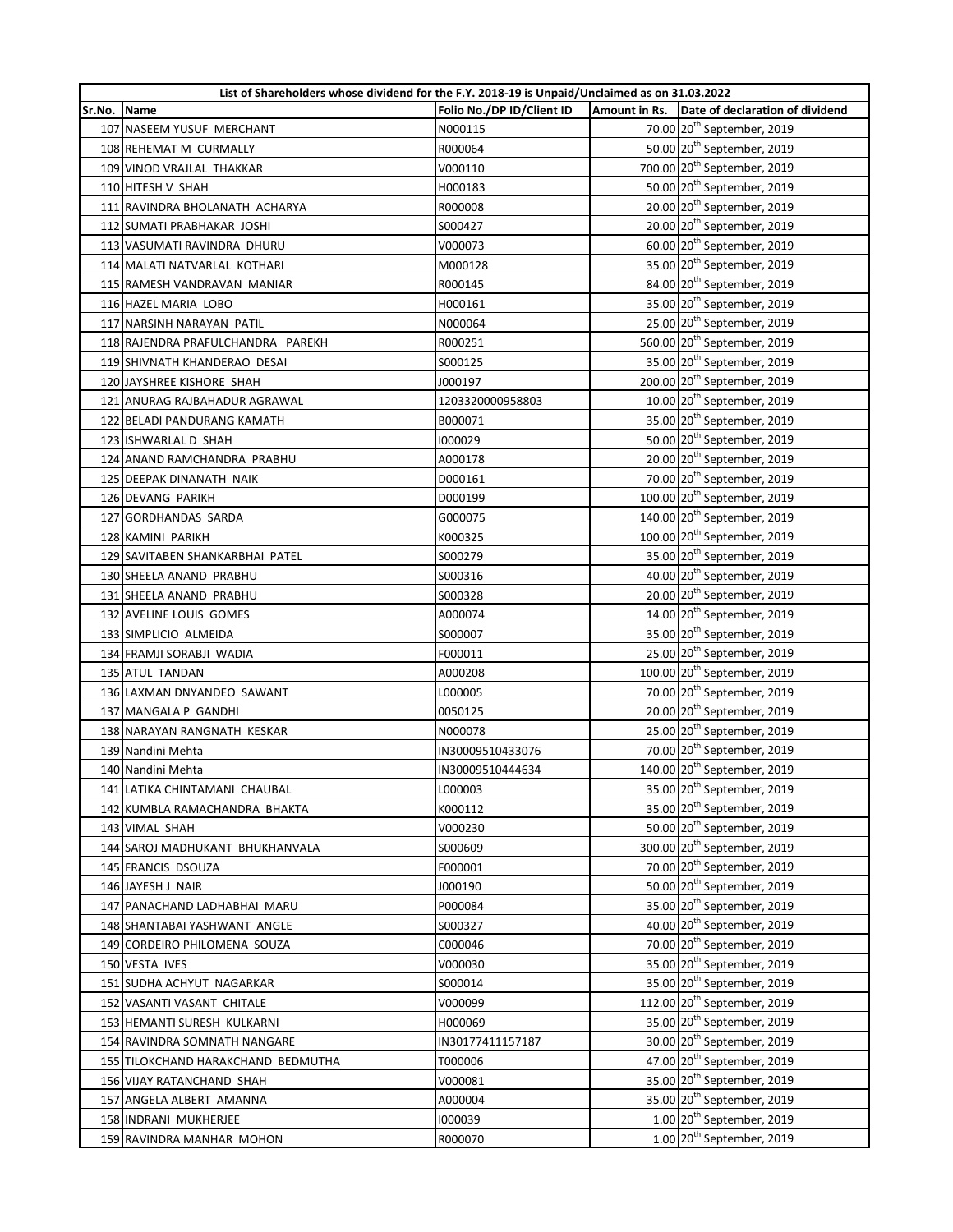|        | List of Shareholders whose dividend for the F.Y. 2018-19 is Unpaid/Unclaimed as on 31.03.2022 |                           |  |                                               |  |
|--------|-----------------------------------------------------------------------------------------------|---------------------------|--|-----------------------------------------------|--|
| Sr.No. | <b>Name</b>                                                                                   | Folio No./DP ID/Client ID |  | Amount in Rs. Date of declaration of dividend |  |
|        | 107 NASEEM YUSUF MERCHANT                                                                     | N000115                   |  | 70.00 20 <sup>th</sup> September, 2019        |  |
|        | 108 REHEMAT M CURMALLY                                                                        | R000064                   |  | 50.00 20 <sup>th</sup> September, 2019        |  |
|        | 109 VINOD VRAJLAL THAKKAR                                                                     | V000110                   |  | 700.00 20 <sup>th</sup> September, 2019       |  |
|        | 110 HITESH V SHAH                                                                             | H000183                   |  | 50.00 20 <sup>th</sup> September, 2019        |  |
|        | 111 RAVINDRA BHOLANATH ACHARYA                                                                | R000008                   |  | 20.00 20 <sup>th</sup> September, 2019        |  |
|        | 112 SUMATI PRABHAKAR JOSHI                                                                    | S000427                   |  | 20.00 20 <sup>th</sup> September, 2019        |  |
|        | 113 VASUMATI RAVINDRA DHURU                                                                   | V000073                   |  | 60.00 20 <sup>th</sup> September, 2019        |  |
|        | 114 MALATI NATVARLAL KOTHARI                                                                  | M000128                   |  | 35.00 20 <sup>th</sup> September, 2019        |  |
|        | 115 RAMESH VANDRAVAN MANIAR                                                                   | R000145                   |  | 84.00 20 <sup>th</sup> September, 2019        |  |
|        | 116 HAZEL MARIA LOBO                                                                          | H000161                   |  | 35.00 20 <sup>th</sup> September, 2019        |  |
|        | 117 NARSINH NARAYAN PATIL                                                                     | N000064                   |  | 25.00 20 <sup>th</sup> September, 2019        |  |
|        | 118 RAJENDRA PRAFULCHANDRA PAREKH                                                             | R000251                   |  | 560.00 20 <sup>th</sup> September, 2019       |  |
|        | 119 SHIVNATH KHANDERAO DESAI                                                                  | S000125                   |  | 35.00 20 <sup>th</sup> September, 2019        |  |
|        | 120 JAYSHREE KISHORE SHAH                                                                     | J000197                   |  | 200.00 20 <sup>th</sup> September, 2019       |  |
|        | 121 ANURAG RAJBAHADUR AGRAWAL                                                                 | 1203320000958803          |  | 10.00 20 <sup>th</sup> September, 2019        |  |
|        | 122 BELADI PANDURANG KAMATH                                                                   | B000071                   |  | 35.00 20 <sup>th</sup> September, 2019        |  |
|        | 123 ISHWARLAL D SHAH                                                                          | 1000029                   |  | 50.00 20 <sup>th</sup> September, 2019        |  |
|        | 124 ANAND RAMCHANDRA PRABHU                                                                   | A000178                   |  | 20.00 20 <sup>th</sup> September, 2019        |  |
|        | 125 DEEPAK DINANATH NAIK                                                                      | D000161                   |  | 70.00 20 <sup>th</sup> September, 2019        |  |
|        | 126 DEVANG PARIKH                                                                             | D000199                   |  | 100.00 20 <sup>th</sup> September, 2019       |  |
|        | 127 GORDHANDAS SARDA                                                                          | G000075                   |  | 140.00 20 <sup>th</sup> September, 2019       |  |
|        | 128 KAMINI PARIKH                                                                             | K000325                   |  | 100.00 20 <sup>th</sup> September, 2019       |  |
|        | 129 SAVITABEN SHANKARBHAI PATEL                                                               | S000279                   |  | 35.00 20 <sup>th</sup> September, 2019        |  |
|        | 130 SHEELA ANAND PRABHU                                                                       | S000316                   |  | 40.00 20 <sup>th</sup> September, 2019        |  |
|        | 131 SHEELA ANAND PRABHU                                                                       | S000328                   |  | 20.00 20 <sup>th</sup> September, 2019        |  |
|        | 132 AVELINE LOUIS GOMES                                                                       | A000074                   |  | 14.00 20 <sup>th</sup> September, 2019        |  |
|        | 133 SIMPLICIO ALMEIDA                                                                         | S000007                   |  | 35.00 20 <sup>th</sup> September, 2019        |  |
|        | 134 FRAMJI SORABJI WADIA                                                                      | F000011                   |  | 25.00 20 <sup>th</sup> September, 2019        |  |
|        | 135 ATUL TANDAN                                                                               | A000208                   |  | 100.00 20 <sup>th</sup> September, 2019       |  |
|        | 136 LAXMAN DNYANDEO SAWANT                                                                    | L000005                   |  | 70.00 20 <sup>th</sup> September, 2019        |  |
|        | 137 MANGALA P GANDHI                                                                          | 0050125                   |  | 20.00 20 <sup>th</sup> September, 2019        |  |
|        | 138 NARAYAN RANGNATH KESKAR                                                                   | N000078                   |  | 25.00 20 <sup>th</sup> September, 2019        |  |
|        | 139 Nandini Mehta                                                                             | IN30009510433076          |  | 70.00 20 <sup>th</sup> September, 2019        |  |
|        | 140 Nandini Mehta                                                                             | IN30009510444634          |  | 140.00 20 <sup>th</sup> September, 2019       |  |
|        | 141 LATIKA CHINTAMANI CHAUBAL                                                                 | L000003                   |  | 35.00 20 <sup>th</sup> September, 2019        |  |
|        | 142 KUMBLA RAMACHANDRA BHAKTA                                                                 | K000112                   |  | 35.00 20 <sup>th</sup> September, 2019        |  |
|        | 143 VIMAL SHAH                                                                                | V000230                   |  | 50.00 20 <sup>th</sup> September, 2019        |  |
|        | 144 SAROJ MADHUKANT BHUKHANVALA                                                               | S000609                   |  | 300.00 20 <sup>th</sup> September, 2019       |  |
|        | 145 FRANCIS DSOUZA                                                                            | F000001                   |  | 70.00 20 <sup>th</sup> September, 2019        |  |
|        | 146 JAYESH J NAIR                                                                             | J000190                   |  | 50.00 20 <sup>th</sup> September, 2019        |  |
|        | 147 PANACHAND LADHABHAI MARU                                                                  | P000084                   |  | 35.00 20 <sup>th</sup> September, 2019        |  |
|        | 148 SHANTABAI YASHWANT ANGLE                                                                  | S000327                   |  | 40.00 20 <sup>th</sup> September, 2019        |  |
|        | 149 CORDEIRO PHILOMENA SOUZA                                                                  | C000046                   |  | 70.00 20 <sup>th</sup> September, 2019        |  |
|        | 150 VESTA IVES                                                                                | V000030                   |  | 35.00 20 <sup>th</sup> September, 2019        |  |
|        | 151 SUDHA ACHYUT NAGARKAR                                                                     | S000014                   |  | 35.00 20 <sup>th</sup> September, 2019        |  |
|        | 152 VASANTI VASANT CHITALE                                                                    | V000099                   |  | 112.00 20 <sup>th</sup> September, 2019       |  |
|        | 153 HEMANTI SURESH KULKARNI                                                                   | H000069                   |  | 35.00 20 <sup>th</sup> September, 2019        |  |
|        | 154 RAVINDRA SOMNATH NANGARE                                                                  | IN30177411157187          |  | 30.00 20 <sup>th</sup> September, 2019        |  |
|        | 155 TILOKCHAND HARAKCHAND BEDMUTHA                                                            | T000006                   |  | 47.00 20 <sup>th</sup> September, 2019        |  |
|        | 156 VIJAY RATANCHAND SHAH                                                                     | V000081                   |  | 35.00 20 <sup>th</sup> September, 2019        |  |
|        | 157 ANGELA ALBERT AMANNA                                                                      | A000004                   |  | 35.00 20 <sup>th</sup> September, 2019        |  |
|        | 158 INDRANI MUKHERJEE                                                                         | 1000039                   |  | $1.00$ $20th$ September, 2019                 |  |
|        | 159 RAVINDRA MANHAR MOHON                                                                     | R000070                   |  | $1.00$ $20th$ September, 2019                 |  |
|        |                                                                                               |                           |  |                                               |  |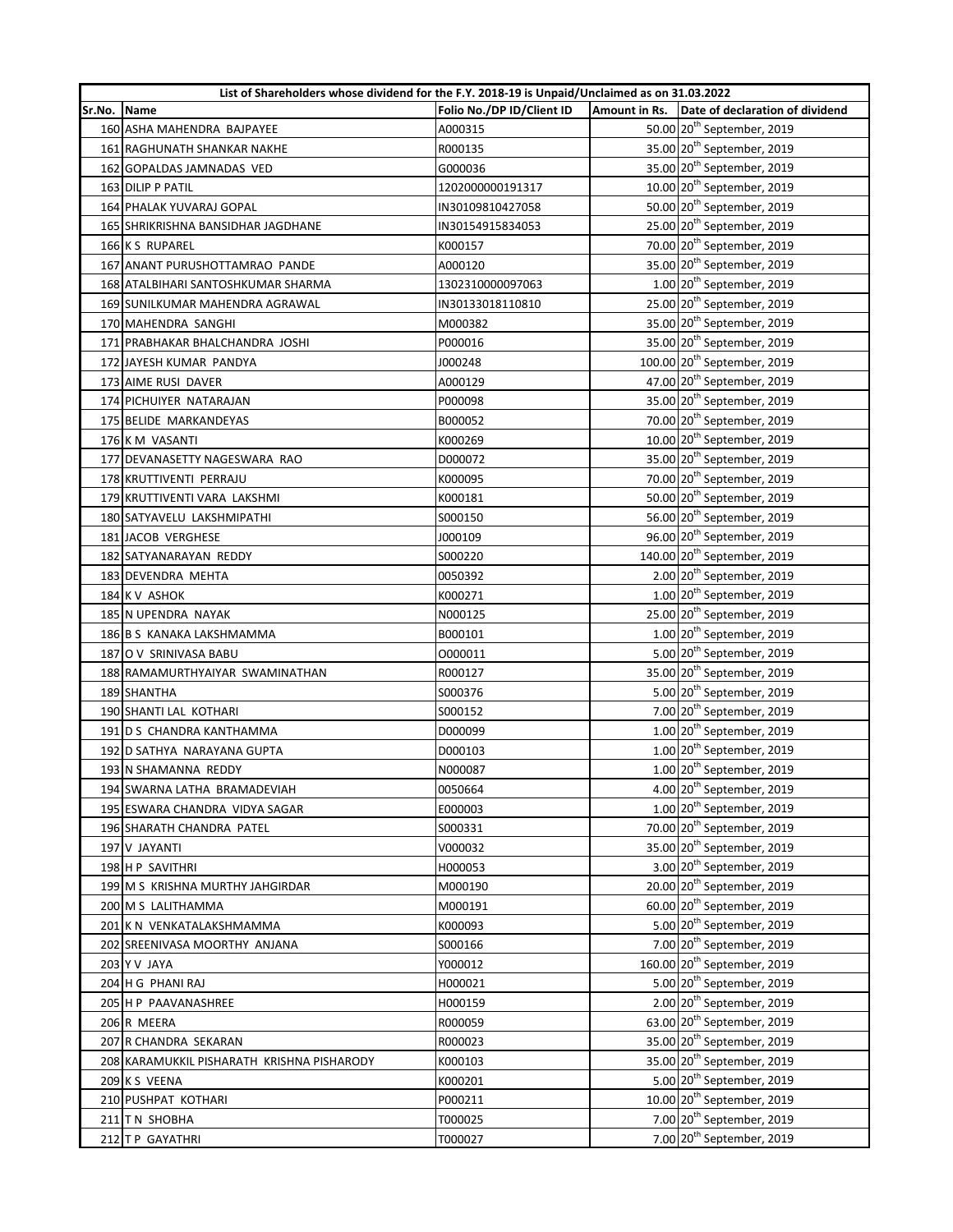|        | List of Shareholders whose dividend for the F.Y. 2018-19 is Unpaid/Unclaimed as on 31.03.2022 |                           |  |                                               |  |
|--------|-----------------------------------------------------------------------------------------------|---------------------------|--|-----------------------------------------------|--|
| Sr.No. | <b>Name</b>                                                                                   | Folio No./DP ID/Client ID |  | Amount in Rs. Date of declaration of dividend |  |
|        | 160 ASHA MAHENDRA BAJPAYEE                                                                    | A000315                   |  | 50.00 20 <sup>th</sup> September, 2019        |  |
|        | 161 RAGHUNATH SHANKAR NAKHE                                                                   | R000135                   |  | 35.00 20 <sup>th</sup> September, 2019        |  |
|        | 162 GOPALDAS JAMNADAS VED                                                                     | G000036                   |  | 35.00 20 <sup>th</sup> September, 2019        |  |
|        | 163 DILIP P PATIL                                                                             | 1202000000191317          |  | 10.00 20 <sup>th</sup> September, 2019        |  |
|        | 164 PHALAK YUVARAJ GOPAL                                                                      | IN30109810427058          |  | 50.00 20 <sup>th</sup> September, 2019        |  |
|        | 165 SHRIKRISHNA BANSIDHAR JAGDHANE                                                            | IN30154915834053          |  | 25.00 20 <sup>th</sup> September, 2019        |  |
|        | 166 K S RUPAREL                                                                               | K000157                   |  | 70.00 20 <sup>th</sup> September, 2019        |  |
|        | 167 ANANT PURUSHOTTAMRAO PANDE                                                                | A000120                   |  | 35.00 20 <sup>th</sup> September, 2019        |  |
|        | 168 ATALBIHARI SANTOSHKUMAR SHARMA                                                            | 1302310000097063          |  | $1.00$ $20th$ September, 2019                 |  |
|        | 169 SUNILKUMAR MAHENDRA AGRAWAL                                                               | IN30133018110810          |  | 25.00 20 <sup>th</sup> September, 2019        |  |
|        | 170 MAHENDRA SANGHI                                                                           | M000382                   |  | 35.00 20 <sup>th</sup> September, 2019        |  |
|        | 171 PRABHAKAR BHALCHANDRA JOSHI                                                               | P000016                   |  | 35.00 20 <sup>th</sup> September, 2019        |  |
|        | 172 JAYESH KUMAR PANDYA                                                                       | J000248                   |  | 100.00 20 <sup>th</sup> September, 2019       |  |
|        | 173 AIME RUSI DAVER                                                                           | A000129                   |  | 47.00 20 <sup>th</sup> September, 2019        |  |
|        | 174 PICHUIYER NATARAJAN                                                                       | P000098                   |  | 35.00 20 <sup>th</sup> September, 2019        |  |
|        | 175 BELIDE MARKANDEYAS                                                                        | B000052                   |  | 70.00 20 <sup>th</sup> September, 2019        |  |
|        | 176 K M VASANTI                                                                               | K000269                   |  | 10.00 20 <sup>th</sup> September, 2019        |  |
|        | 177 DEVANASETTY NAGESWARA RAO                                                                 | D000072                   |  | 35.00 20 <sup>th</sup> September, 2019        |  |
|        | 178 KRUTTIVENTI PERRAJU                                                                       | K000095                   |  | 70.00 20 <sup>th</sup> September, 2019        |  |
|        | 179 KRUTTIVENTI VARA LAKSHMI                                                                  | K000181                   |  | 50.00 20 <sup>th</sup> September, 2019        |  |
|        | 180 SATYAVELU LAKSHMIPATHI                                                                    | S000150                   |  | 56.00 20 <sup>th</sup> September, 2019        |  |
|        | 181 JACOB VERGHESE                                                                            | J000109                   |  | 96.00 20 <sup>th</sup> September, 2019        |  |
|        | 182 SATYANARAYAN REDDY                                                                        | S000220                   |  | 140.00 20 <sup>th</sup> September, 2019       |  |
|        | 183 DEVENDRA MEHTA                                                                            | 0050392                   |  | 2.00 20 <sup>th</sup> September, 2019         |  |
|        | 184 K V ASHOK                                                                                 | K000271                   |  | $1.00$ $20th$ September, 2019                 |  |
|        | 185 N UPENDRA NAYAK                                                                           | N000125                   |  | 25.00 20 <sup>th</sup> September, 2019        |  |
|        | 186 B S KANAKA LAKSHMAMMA                                                                     | B000101                   |  | $1.00$ $20th$ September, 2019                 |  |
|        | 187 O V SRINIVASA BABU                                                                        | 0000011                   |  | 5.00 20 <sup>th</sup> September, 2019         |  |
|        | 188 RAMAMURTHYAIYAR SWAMINATHAN                                                               | R000127                   |  | 35.00 20 <sup>th</sup> September, 2019        |  |
|        | 189 SHANTHA                                                                                   | S000376                   |  | 5.00 20 <sup>th</sup> September, 2019         |  |
|        | 190 SHANTI LAL KOTHARI                                                                        | S000152                   |  | 7.00 20 <sup>th</sup> September, 2019         |  |
|        | 191 D S CHANDRA KANTHAMMA                                                                     | D000099                   |  | $1.00$ $20th$ September, 2019                 |  |
|        | 192 D SATHYA NARAYANA GUPTA                                                                   | D000103                   |  | $1.00$ $20th$ September, 2019                 |  |
|        | 193 N SHAMANNA REDDY                                                                          | N000087                   |  | $1.00$ $20th$ September, 2019                 |  |
|        | 194 SWARNA LATHA BRAMADEVIAH                                                                  | 0050664                   |  | 4.00 $20^{th}$ September, 2019                |  |
|        | 195 ESWARA CHANDRA VIDYA SAGAR                                                                | E000003                   |  | $1.00$ $20th$ September, 2019                 |  |
|        | 196 SHARATH CHANDRA PATEL                                                                     | S000331                   |  | 70.00 20 <sup>th</sup> September, 2019        |  |
|        | 197 V JAYANTI                                                                                 | V000032                   |  | 35.00 20 <sup>th</sup> September, 2019        |  |
|        | 198 H P SAVITHRI                                                                              | H000053                   |  | 3.00 20 <sup>th</sup> September, 2019         |  |
|        | 199 M S KRISHNA MURTHY JAHGIRDAR                                                              | M000190                   |  | 20.00 20 <sup>th</sup> September, 2019        |  |
|        | 200 M S LALITHAMMA                                                                            | M000191                   |  | 60.00 20 <sup>th</sup> September, 2019        |  |
|        | 201 K N VENKATALAKSHMAMMA                                                                     | K000093                   |  | 5.00 20 <sup>th</sup> September, 2019         |  |
|        | 202 SREENIVASA MOORTHY ANJANA                                                                 | S000166                   |  | 7.00 20 <sup>th</sup> September, 2019         |  |
|        | 203 Y V JAYA                                                                                  | Y000012                   |  | 160.00 20 <sup>th</sup> September, 2019       |  |
|        | 204 H G PHANI RAJ                                                                             | H000021                   |  | 5.00 20 <sup>th</sup> September, 2019         |  |
|        | 205 H P PAAVANASHREE                                                                          | H000159                   |  | $2.00$ $20th$ September, 2019                 |  |
|        | 206 R MEERA                                                                                   | R000059                   |  | 63.00 20 <sup>th</sup> September, 2019        |  |
|        | 207 R CHANDRA SEKARAN                                                                         | R000023                   |  | 35.00 20 <sup>th</sup> September, 2019        |  |
|        | 208 KARAMUKKIL PISHARATH KRISHNA PISHARODY                                                    | K000103                   |  | 35.00 20 <sup>th</sup> September, 2019        |  |
|        | 209 K S VEENA                                                                                 | K000201                   |  | 5.00 20 <sup>th</sup> September, 2019         |  |
|        | 210 PUSHPAT KOTHARI                                                                           | P000211                   |  | 10.00 20 <sup>th</sup> September, 2019        |  |
|        |                                                                                               |                           |  | 7.00 20 <sup>th</sup> September, 2019         |  |
|        | 211 TN SHOBHA                                                                                 | T000025                   |  |                                               |  |
|        | 212 T P GAYATHRI                                                                              | T000027                   |  | 7.00 20 <sup>th</sup> September, 2019         |  |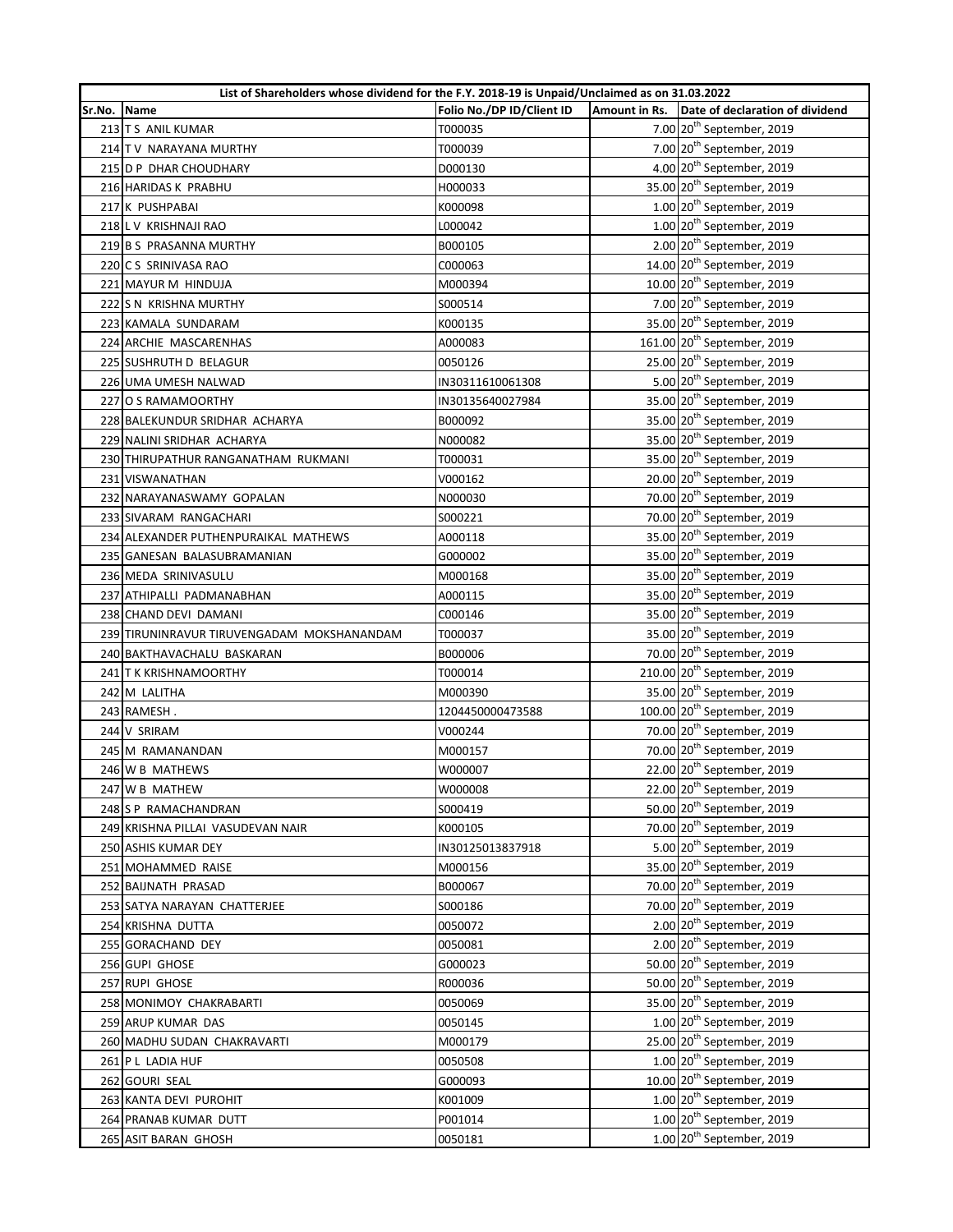|        | List of Shareholders whose dividend for the F.Y. 2018-19 is Unpaid/Unclaimed as on 31.03.2022 |                           |  |                                               |  |
|--------|-----------------------------------------------------------------------------------------------|---------------------------|--|-----------------------------------------------|--|
| Sr.No. | Name                                                                                          | Folio No./DP ID/Client ID |  | Amount in Rs. Date of declaration of dividend |  |
|        | 213 T S ANIL KUMAR                                                                            | T000035                   |  | 7.00 20 <sup>th</sup> September, 2019         |  |
|        | 214 TV NARAYANA MURTHY                                                                        | T000039                   |  | 7.00 $20^{th}$ September, 2019                |  |
|        | 215 D P DHAR CHOUDHARY                                                                        | D000130                   |  | 4.00 20 <sup>th</sup> September, 2019         |  |
|        | 216 HARIDAS K PRABHU                                                                          | H000033                   |  | 35.00 20 <sup>th</sup> September, 2019        |  |
|        | 217 K PUSHPABAI                                                                               | K000098                   |  | $1.00$ $20th$ September, 2019                 |  |
|        | 218 LV KRISHNAJI RAO                                                                          | L000042                   |  | 1.00 20 <sup>th</sup> September, 2019         |  |
|        | 219 B S PRASANNA MURTHY                                                                       | B000105                   |  | 2.00 20 <sup>th</sup> September, 2019         |  |
|        | 220 C S SRINIVASA RAO                                                                         | C000063                   |  | 14.00 20 <sup>th</sup> September, 2019        |  |
|        | 221 MAYUR M HINDUJA                                                                           | M000394                   |  | 10.00 20 <sup>th</sup> September, 2019        |  |
|        | 222 S N KRISHNA MURTHY                                                                        | S000514                   |  | 7.00 20 <sup>th</sup> September, 2019         |  |
|        | 223 KAMALA SUNDARAM                                                                           | K000135                   |  | 35.00 20 <sup>th</sup> September, 2019        |  |
|        | 224 ARCHIE MASCARENHAS                                                                        | A000083                   |  | 161.00 20 <sup>th</sup> September, 2019       |  |
|        | 225 SUSHRUTH D BELAGUR                                                                        | 0050126                   |  | 25.00 20 <sup>th</sup> September, 2019        |  |
|        | 226 UMA UMESH NALWAD                                                                          | IN30311610061308          |  | 5.00 20 <sup>th</sup> September, 2019         |  |
|        | 227 O S RAMAMOORTHY                                                                           | IN30135640027984          |  | 35.00 20 <sup>th</sup> September, 2019        |  |
|        | 228 BALEKUNDUR SRIDHAR ACHARYA                                                                | B000092                   |  | 35.00 20 <sup>th</sup> September, 2019        |  |
|        | 229 NALINI SRIDHAR ACHARYA                                                                    | N000082                   |  | 35.00 20 <sup>th</sup> September, 2019        |  |
|        | 230 THIRUPATHUR RANGANATHAM RUKMANI                                                           | T000031                   |  | 35.00 20 <sup>th</sup> September, 2019        |  |
|        | 231 VISWANATHAN                                                                               | V000162                   |  | 20.00 20 <sup>th</sup> September, 2019        |  |
|        | 232 NARAYANASWAMY GOPALAN                                                                     | N000030                   |  | 70.00 20 <sup>th</sup> September, 2019        |  |
|        | 233 SIVARAM RANGACHARI                                                                        | S000221                   |  | 70.00 20 <sup>th</sup> September, 2019        |  |
|        | 234 ALEXANDER PUTHENPURAIKAL MATHEWS                                                          | A000118                   |  | 35.00 20 <sup>th</sup> September, 2019        |  |
|        | 235 GANESAN BALASUBRAMANIAN                                                                   | G000002                   |  | 35.00 20 <sup>th</sup> September, 2019        |  |
|        | 236 MEDA SRINIVASULU                                                                          | M000168                   |  | 35.00 20 <sup>th</sup> September, 2019        |  |
|        | 237 ATHIPALLI PADMANABHAN                                                                     | A000115                   |  | 35.00 20 <sup>th</sup> September, 2019        |  |
|        | 238 CHAND DEVI DAMANI                                                                         | C000146                   |  | 35.00 20 <sup>th</sup> September, 2019        |  |
|        | 239 TIRUNINRAVUR TIRUVENGADAM MOKSHANANDAM                                                    | T000037                   |  | 35.00 20 <sup>th</sup> September, 2019        |  |
|        | 240 BAKTHAVACHALU BASKARAN                                                                    | B000006                   |  | 70.00 20 <sup>th</sup> September, 2019        |  |
|        | 241 T K KRISHNAMOORTHY                                                                        | T000014                   |  | 210.00 20 <sup>th</sup> September, 2019       |  |
|        | 242 M LALITHA                                                                                 | M000390                   |  | 35.00 20 <sup>th</sup> September, 2019        |  |
|        | 243 RAMESH.                                                                                   | 1204450000473588          |  | 100.00 20 <sup>th</sup> September, 2019       |  |
|        | 244 V SRIRAM                                                                                  | V000244                   |  | 70.00 20 <sup>th</sup> September, 2019        |  |
|        | 245 M RAMANANDAN                                                                              | M000157                   |  | 70.00 20 <sup>th</sup> September, 2019        |  |
|        | 246 W B MATHEWS                                                                               | W000007                   |  | 22.00 20 <sup>th</sup> September, 2019        |  |
|        | 247 W B MATHEW                                                                                | W000008                   |  | 22.00 20 <sup>th</sup> September, 2019        |  |
|        | 248 S P RAMACHANDRAN                                                                          | S000419                   |  | 50.00 20 <sup>th</sup> September, 2019        |  |
|        | 249 KRISHNA PILLAI VASUDEVAN NAIR                                                             | K000105                   |  | 70.00 20 <sup>th</sup> September, 2019        |  |
|        | 250 ASHIS KUMAR DEY                                                                           | IN30125013837918          |  | 5.00 20 <sup>th</sup> September, 2019         |  |
|        | 251 MOHAMMED RAISE                                                                            | M000156                   |  | 35.00 20 <sup>th</sup> September, 2019        |  |
|        | 252 BAIJNATH PRASAD                                                                           | B000067                   |  | 70.00 20 <sup>th</sup> September, 2019        |  |
|        | 253 SATYA NARAYAN CHATTERJEE                                                                  | S000186                   |  | 70.00 20 <sup>th</sup> September, 2019        |  |
|        | 254 KRISHNA DUTTA                                                                             | 0050072                   |  | 2.00 20 <sup>th</sup> September, 2019         |  |
|        | 255 GORACHAND DEY                                                                             | 0050081                   |  | 2.00 20 <sup>th</sup> September, 2019         |  |
|        | 256 GUPI GHOSE                                                                                | G000023                   |  | 50.00 20 <sup>th</sup> September, 2019        |  |
|        | 257 RUPI GHOSE                                                                                | R000036                   |  | 50.00 20 <sup>th</sup> September, 2019        |  |
|        | 258 MONIMOY CHAKRABARTI                                                                       | 0050069                   |  | 35.00 20 <sup>th</sup> September, 2019        |  |
|        | 259 ARUP KUMAR DAS                                                                            | 0050145                   |  | $1.00$ $20th$ September, 2019                 |  |
|        | 260 MADHU SUDAN CHAKRAVARTI                                                                   | M000179                   |  | 25.00 20 <sup>th</sup> September, 2019        |  |
|        | 261 P L LADIA HUF                                                                             | 0050508                   |  | 1.00 20 <sup>th</sup> September, 2019         |  |
|        | 262 GOURI SEAL                                                                                | G000093                   |  | 10.00 20 <sup>th</sup> September, 2019        |  |
|        | 263 KANTA DEVI PUROHIT                                                                        | K001009                   |  | $1.00$ $20th$ September, 2019                 |  |
|        |                                                                                               |                           |  | $1.00$ $20th$ September, 2019                 |  |
|        | 264 PRANAB KUMAR DUTT<br>265 ASIT BARAN GHOSH                                                 | P001014<br>0050181        |  | $1.00$ $20th$ September, 2019                 |  |
|        |                                                                                               |                           |  |                                               |  |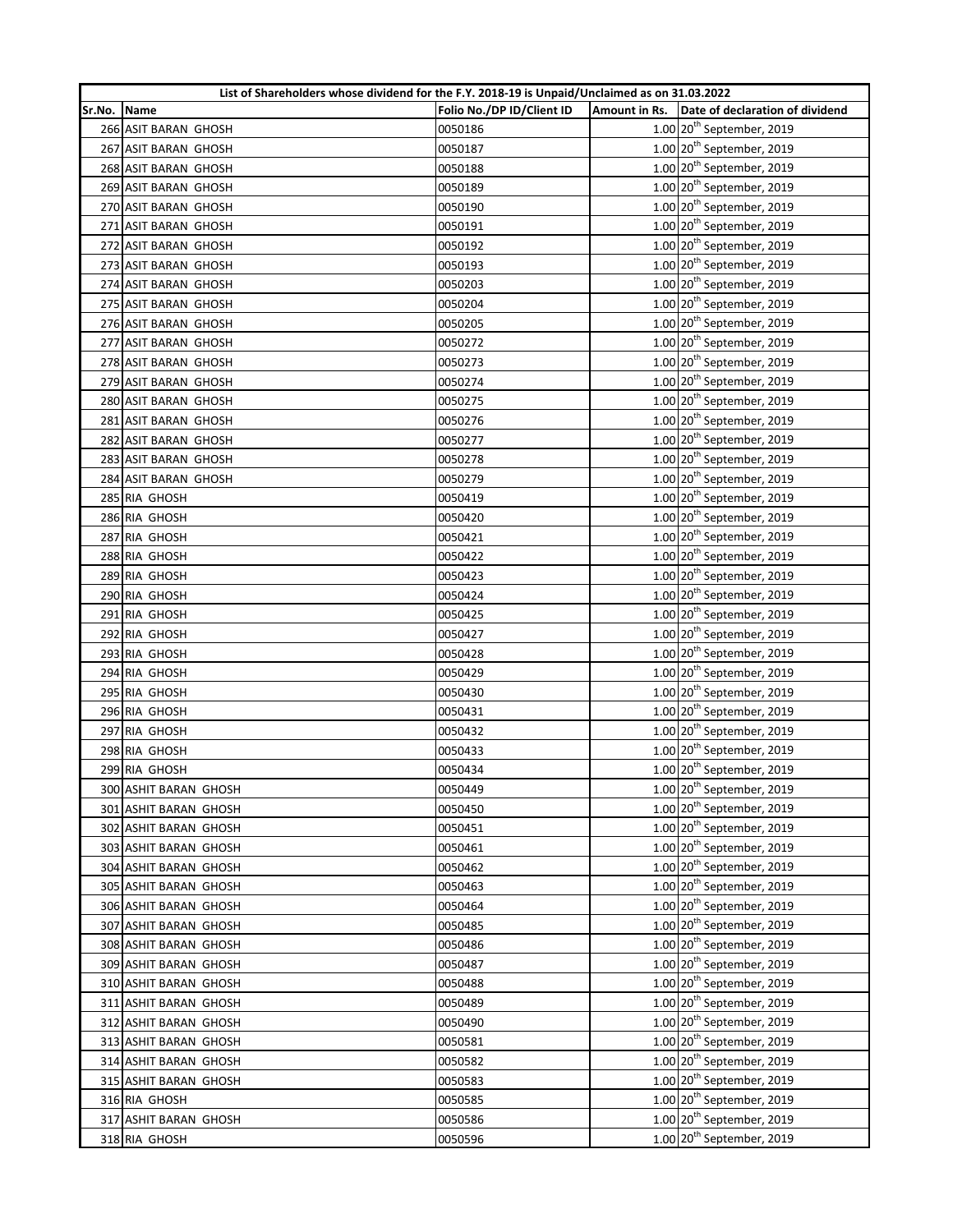|        |                       | List of Shareholders whose dividend for the F.Y. 2018-19 is Unpaid/Unclaimed as on 31.03.2022 |               |                                         |
|--------|-----------------------|-----------------------------------------------------------------------------------------------|---------------|-----------------------------------------|
| Sr.No. | Name                  | Folio No./DP ID/Client ID                                                                     | Amount in Rs. | Date of declaration of dividend         |
|        | 266 ASIT BARAN GHOSH  | 0050186                                                                                       |               | $1.00$ $20th$ September, 2019           |
|        | 267 ASIT BARAN GHOSH  | 0050187                                                                                       |               | $1.00$ $20th$ September, 2019           |
|        | 268 ASIT BARAN GHOSH  | 0050188                                                                                       |               | 1.00 20 <sup>th</sup> September, 2019   |
|        | 269 ASIT BARAN GHOSH  | 0050189                                                                                       |               | 1.00 20 <sup>th</sup> September, 2019   |
|        | 270 ASIT BARAN GHOSH  | 0050190                                                                                       |               | $1.00$ $20th$ September, 2019           |
|        | 271 ASIT BARAN GHOSH  | 0050191                                                                                       |               | $1.00$ $20th$ September, 2019           |
|        | 272 ASIT BARAN GHOSH  | 0050192                                                                                       |               | $1.00$ $20th$ September, 2019           |
|        | 273 ASIT BARAN GHOSH  | 0050193                                                                                       |               | $1.00$ $20th$ September, 2019           |
|        | 274 ASIT BARAN GHOSH  | 0050203                                                                                       |               | $1.00$ $20th$ September, 2019           |
|        | 275 ASIT BARAN GHOSH  | 0050204                                                                                       |               | $1.00$ $20th$ September, 2019           |
|        | 276 ASIT BARAN GHOSH  | 0050205                                                                                       |               | $1.00$ $20th$ September, 2019           |
|        | 277 ASIT BARAN GHOSH  | 0050272                                                                                       |               | 1.00 20 <sup>th</sup> September, 2019   |
|        | 278 ASIT BARAN GHOSH  | 0050273                                                                                       |               | $1.00$ $20th$ September, 2019           |
|        | 279 ASIT BARAN GHOSH  | 0050274                                                                                       |               | $1.00$ $20th$ September, 2019           |
|        | 280 ASIT BARAN GHOSH  | 0050275                                                                                       |               | $1.00$ $20th$ September, 2019           |
|        | 281 ASIT BARAN GHOSH  | 0050276                                                                                       |               | $1.00$ $20th$ September, 2019           |
|        | 282 ASIT BARAN GHOSH  | 0050277                                                                                       |               | $1.00$ $20th$ September, 2019           |
|        | 283 ASIT BARAN GHOSH  | 0050278                                                                                       |               | 1.00 20 <sup>th</sup> September, 2019   |
|        | 284 ASIT BARAN GHOSH  | 0050279                                                                                       |               | $1.00$ 20 <sup>th</sup> September, 2019 |
|        | 285 RIA GHOSH         | 0050419                                                                                       |               | $1.00$ $20th$ September, 2019           |
|        | 286 RIA GHOSH         | 0050420                                                                                       |               | $1.00$ $20th$ September, 2019           |
|        | 287 RIA GHOSH         | 0050421                                                                                       |               | $1.00$ $20th$ September, 2019           |
|        | 288 RIA GHOSH         | 0050422                                                                                       |               | $1.00$ $20th$ September, 2019           |
|        | 289 RIA GHOSH         | 0050423                                                                                       |               | $1.00$ $20th$ September, 2019           |
|        | 290 RIA GHOSH         | 0050424                                                                                       |               | $1.00$ $20th$ September, 2019           |
|        | 291 RIA GHOSH         | 0050425                                                                                       |               | $1.00$ $20th$ September, 2019           |
|        | 292 RIA GHOSH         | 0050427                                                                                       |               | $1.00$ $20th$ September, 2019           |
|        | 293 RIA GHOSH         | 0050428                                                                                       |               | 1.00 20 <sup>th</sup> September, 2019   |
|        | 294 RIA GHOSH         | 0050429                                                                                       |               | $1.00$ $20th$ September, 2019           |
|        | 295 RIA GHOSH         | 0050430                                                                                       |               | $1.00$ $20th$ September, 2019           |
|        | 296 RIA GHOSH         | 0050431                                                                                       |               | 1.00 20 <sup>th</sup> September, 2019   |
|        | 297 RIA GHOSH         | 0050432                                                                                       |               | $1.00$ $20th$ September, 2019           |
|        | 298 RIA GHOSH         | 0050433                                                                                       |               | $1.00$ $20th$ September, 2019           |
|        | 299 RIA GHOSH         | 0050434                                                                                       |               | $1.00$ $20th$ September, 2019           |
|        | 300 ASHIT BARAN GHOSH | 0050449                                                                                       |               | $1.00$ $20th$ September, 2019           |
|        | 301 ASHIT BARAN GHOSH | 0050450                                                                                       |               | 1.00 20 <sup>th</sup> September, 2019   |
|        | 302 ASHIT BARAN GHOSH | 0050451                                                                                       |               | 1.00 20 <sup>th</sup> September, 2019   |
|        | 303 ASHIT BARAN GHOSH | 0050461                                                                                       |               | $1.00$ $20th$ September, 2019           |
|        | 304 ASHIT BARAN GHOSH | 0050462                                                                                       |               | $1.00$ $20th$ September, 2019           |
|        | 305 ASHIT BARAN GHOSH | 0050463                                                                                       |               | $1.00$ $20th$ September, 2019           |
|        | 306 ASHIT BARAN GHOSH | 0050464                                                                                       |               | $1.00$ $20th$ September, 2019           |
|        | 307 ASHIT BARAN GHOSH | 0050485                                                                                       |               | $1.00$ $20th$ September, 2019           |
|        | 308 ASHIT BARAN GHOSH | 0050486                                                                                       |               | $1.00$ $20th$ September, 2019           |
|        | 309 ASHIT BARAN GHOSH | 0050487                                                                                       |               | 1.00 20 <sup>th</sup> September, 2019   |
|        | 310 ASHIT BARAN GHOSH | 0050488                                                                                       |               | $1.00$ $20th$ September, 2019           |
|        | 311 ASHIT BARAN GHOSH | 0050489                                                                                       |               | $1.00$ $20th$ September, 2019           |
|        | 312 ASHIT BARAN GHOSH | 0050490                                                                                       |               | 1.00 20 <sup>th</sup> September, 2019   |
|        | 313 ASHIT BARAN GHOSH | 0050581                                                                                       |               | $1.00$ $20th$ September, 2019           |
|        | 314 ASHIT BARAN GHOSH | 0050582                                                                                       |               | 1.00 20 <sup>th</sup> September, 2019   |
|        | 315 ASHIT BARAN GHOSH | 0050583                                                                                       |               | 1.00 20 <sup>th</sup> September, 2019   |
|        | 316 RIA GHOSH         | 0050585                                                                                       |               | $1.00$ $20th$ September, 2019           |
|        | 317 ASHIT BARAN GHOSH | 0050586                                                                                       |               | $1.00$ $20th$ September, 2019           |
|        | 318 RIA GHOSH         | 0050596                                                                                       |               | $1.00$ $20th$ September, 2019           |
|        |                       |                                                                                               |               |                                         |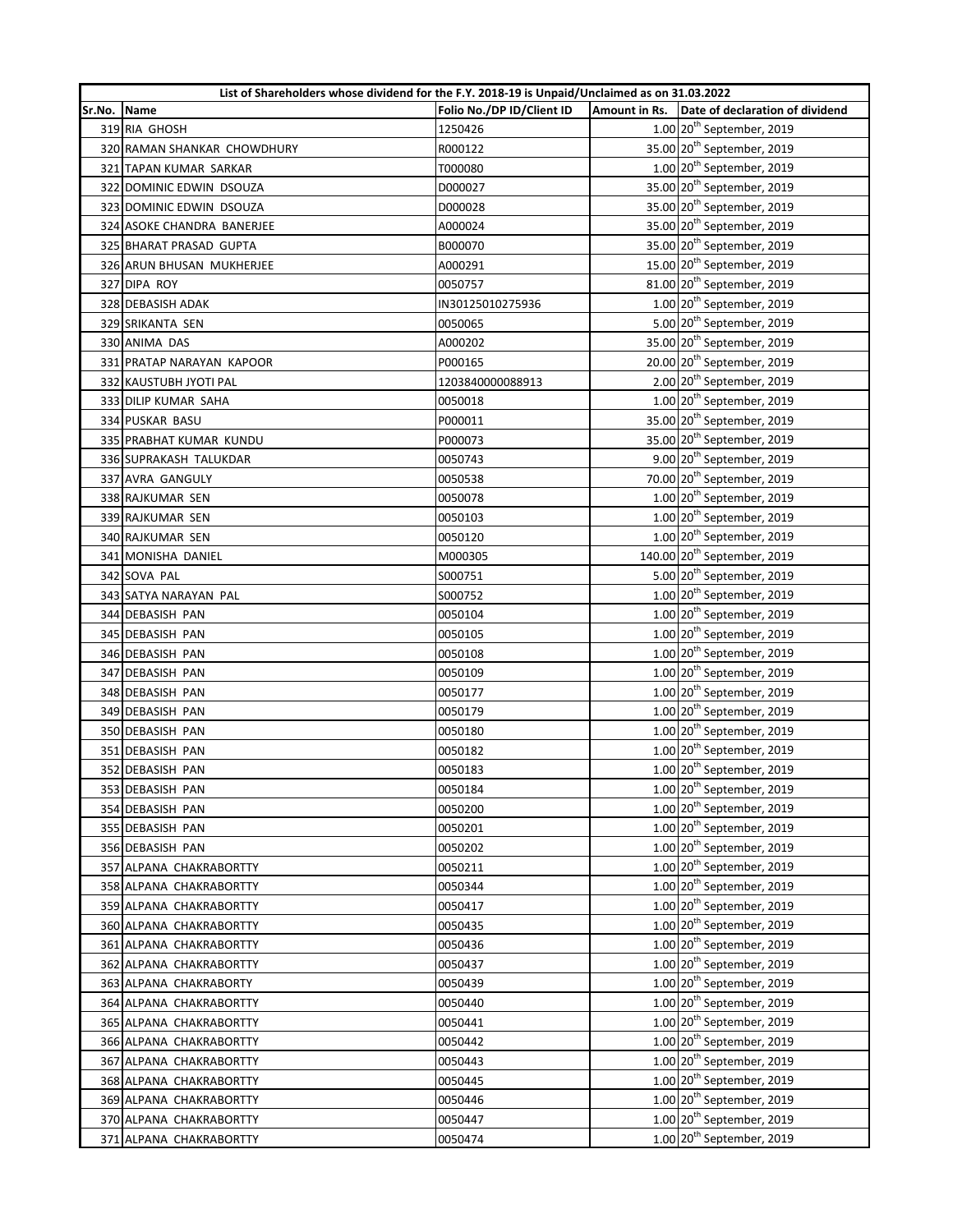|        | List of Shareholders whose dividend for the F.Y. 2018-19 is Unpaid/Unclaimed as on 31.03.2022 |                           |                                                 |
|--------|-----------------------------------------------------------------------------------------------|---------------------------|-------------------------------------------------|
| Sr.No. | Name                                                                                          | Folio No./DP ID/Client ID | Amount in Rs.   Date of declaration of dividend |
|        | 319 RIA GHOSH                                                                                 | 1250426                   | $1.00$ $20th$ September, 2019                   |
|        | 320 RAMAN SHANKAR CHOWDHURY                                                                   | R000122                   | 35.00 20 <sup>th</sup> September, 2019          |
|        | 321 TAPAN KUMAR SARKAR                                                                        | T000080                   | $1.00$ $20th$ September, 2019                   |
|        | 322 DOMINIC EDWIN DSOUZA                                                                      | D000027                   | 35.00 20 <sup>th</sup> September, 2019          |
|        | 323 DOMINIC EDWIN DSOUZA                                                                      | D000028                   | 35.00 20 <sup>th</sup> September, 2019          |
|        | 324 ASOKE CHANDRA BANERJEE                                                                    | A000024                   | 35.00 20 <sup>th</sup> September, 2019          |
|        | 325 BHARAT PRASAD GUPTA                                                                       | B000070                   | 35.00 20 <sup>th</sup> September, 2019          |
|        | 326 ARUN BHUSAN MUKHERJEE                                                                     | A000291                   | 15.00 20 <sup>th</sup> September, 2019          |
|        | 327 DIPA ROY                                                                                  | 0050757                   | 81.00 20 <sup>th</sup> September, 2019          |
|        | 328 DEBASISH ADAK                                                                             | IN30125010275936          | $1.00$ $20th$ September, 2019                   |
|        | 329 SRIKANTA SEN                                                                              | 0050065                   | 5.00 20 <sup>th</sup> September, 2019           |
|        | 330 ANIMA DAS                                                                                 | A000202                   | 35.00 20 <sup>th</sup> September, 2019          |
|        | 331 PRATAP NARAYAN KAPOOR                                                                     | P000165                   | 20.00 20 <sup>th</sup> September, 2019          |
|        | 332 KAUSTUBH JYOTI PAL                                                                        | 1203840000088913          | 2.00 20 <sup>th</sup> September, 2019           |
|        | 333 DILIP KUMAR SAHA                                                                          | 0050018                   | $1.00$ $20th$ September, 2019                   |
|        | 334 PUSKAR BASU                                                                               | P000011                   | 35.00 20 <sup>th</sup> September, 2019          |
|        | 335 PRABHAT KUMAR KUNDU                                                                       | P000073                   | 35.00 20 <sup>th</sup> September, 2019          |
|        | 336 SUPRAKASH TALUKDAR                                                                        | 0050743                   | 9.00 20 <sup>th</sup> September, 2019           |
|        | 337 AVRA GANGULY                                                                              | 0050538                   | 70.00 20 <sup>th</sup> September, 2019          |
|        | 338 RAJKUMAR SEN                                                                              | 0050078                   | $1.00$ $20th$ September, 2019                   |
|        | 339 RAJKUMAR SEN                                                                              | 0050103                   | $1.00$ $20th$ September, 2019                   |
|        | 340 RAJKUMAR SEN                                                                              | 0050120                   | $1.00$ $20th$ September, 2019                   |
|        | 341 MONISHA DANIEL                                                                            | M000305                   | 140.00 20 <sup>th</sup> September, 2019         |
|        | 342 SOVA PAL                                                                                  | S000751                   | 5.00 20 <sup>th</sup> September, 2019           |
|        | 343 SATYA NARAYAN PAL                                                                         | S000752                   | $1.00$ $20th$ September, 2019                   |
|        | 344 DEBASISH PAN                                                                              | 0050104                   | $1.00$ $20th$ September, 2019                   |
|        | 345 DEBASISH PAN                                                                              | 0050105                   | $1.00$ $20th$ September, 2019                   |
|        | 346 DEBASISH PAN                                                                              | 0050108                   | $1.00$ $20th$ September, 2019                   |
|        | 347 DEBASISH PAN                                                                              | 0050109                   | 1.00 20 <sup>th</sup> September, 2019           |
|        | 348 DEBASISH PAN                                                                              | 0050177                   | $1.00$ $20th$ September, 2019                   |
|        | 349 DEBASISH PAN                                                                              | 0050179                   | $1.00$ $20th$ September, 2019                   |
|        | 350 DEBASISH PAN                                                                              | 0050180                   | $1.00$ $20th$ September, 2019                   |
|        | 351 DEBASISH PAN                                                                              | 0050182                   | $1.00$ $20th$ September, 2019                   |
|        | 352 DEBASISH PAN                                                                              | 0050183                   | $1.00$ $20th$ September, 2019                   |
|        | 353 DEBASISH PAN                                                                              | 0050184                   | 1.00 20 <sup>th</sup> September, 2019           |
|        | 354 DEBASISH PAN                                                                              | 0050200                   | 1.00 20 <sup>th</sup> September, 2019           |
|        | 355 DEBASISH PAN                                                                              | 0050201                   | $1.00$ $20th$ September, 2019                   |
|        | 356 DEBASISH PAN                                                                              | 0050202                   | $1.00$ $20th$ September, 2019                   |
|        | 357 ALPANA CHAKRABORTTY                                                                       | 0050211                   | $1.00$ $20th$ September, 2019                   |
|        | 358 ALPANA CHAKRABORTTY                                                                       | 0050344                   | $1.00$ $20th$ September, 2019                   |
|        | 359 ALPANA CHAKRABORTTY                                                                       | 0050417                   | $1.00$ $20th$ September, 2019                   |
|        | 360 ALPANA CHAKRABORTTY                                                                       | 0050435                   | 1.00 20 <sup>th</sup> September, 2019           |
|        | 361 ALPANA CHAKRABORTTY                                                                       | 0050436                   | $1.00$ $20th$ September, 2019                   |
|        | 362 ALPANA CHAKRABORTTY                                                                       | 0050437                   | $1.00$ $20th$ September, 2019                   |
|        | 363 ALPANA CHAKRABORTY                                                                        | 0050439                   | $1.00$ 20 <sup>th</sup> September, 2019         |
|        | 364 ALPANA CHAKRABORTTY                                                                       | 0050440                   | $1.00$ $20th$ September, 2019                   |
|        | 365 ALPANA CHAKRABORTTY                                                                       | 0050441                   | 1.00 20 <sup>th</sup> September, 2019           |
|        | 366 ALPANA CHAKRABORTTY                                                                       | 0050442                   | $1.00$ $20th$ September, 2019                   |
|        | 367 ALPANA CHAKRABORTTY                                                                       | 0050443                   | $1.00$ $20th$ September, 2019                   |
|        | 368 ALPANA CHAKRABORTTY                                                                       | 0050445                   | $1.00$ $20th$ September, 2019                   |
|        | 369 ALPANA CHAKRABORTTY                                                                       | 0050446                   | $1.00$ $20th$ September, 2019                   |
|        | 370 ALPANA CHAKRABORTTY                                                                       | 0050447                   | $1.00$ $20th$ September, 2019                   |
|        | 371 ALPANA CHAKRABORTTY                                                                       | 0050474                   | $1.00$ $20th$ September, 2019                   |
|        |                                                                                               |                           |                                                 |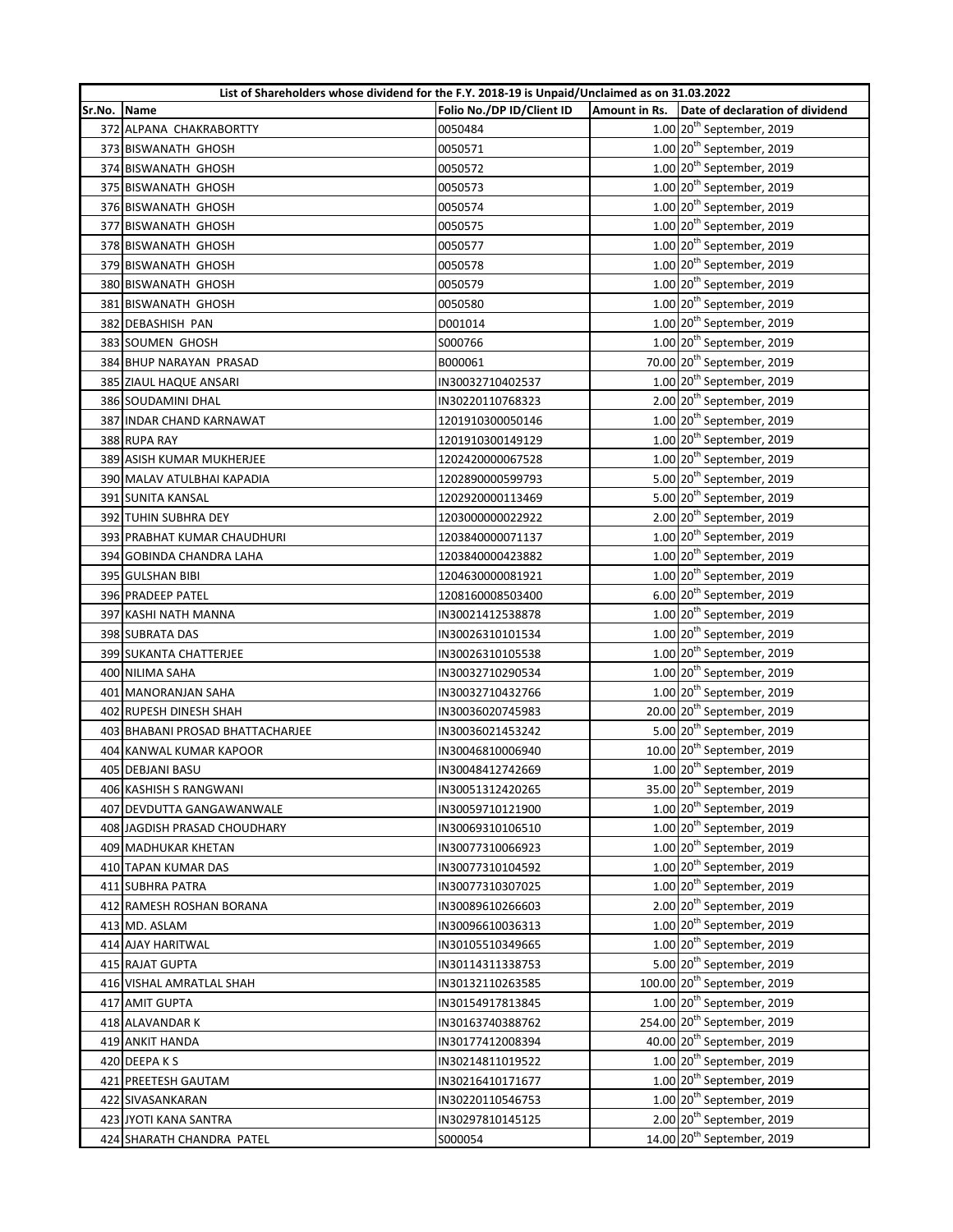|        | List of Shareholders whose dividend for the F.Y. 2018-19 is Unpaid/Unclaimed as on 31.03.2022 |                           |               |                                         |  |
|--------|-----------------------------------------------------------------------------------------------|---------------------------|---------------|-----------------------------------------|--|
| Sr.No. | Name                                                                                          | Folio No./DP ID/Client ID | Amount in Rs. | Date of declaration of dividend         |  |
|        | 372 ALPANA CHAKRABORTTY                                                                       | 0050484                   |               | $1.00$ $20th$ September, 2019           |  |
|        | 373 BISWANATH GHOSH                                                                           | 0050571                   |               | $1.00$ $20th$ September, 2019           |  |
|        | 374 BISWANATH GHOSH                                                                           | 0050572                   |               | $1.00$ $20th$ September, 2019           |  |
|        | 375 BISWANATH GHOSH                                                                           | 0050573                   |               | $1.00$ $20th$ September, 2019           |  |
|        | 376 BISWANATH GHOSH                                                                           | 0050574                   |               | 1.00 20 <sup>th</sup> September, 2019   |  |
|        | 377 BISWANATH GHOSH                                                                           | 0050575                   |               | $1.00$ $20th$ September, 2019           |  |
|        | 378 BISWANATH GHOSH                                                                           | 0050577                   |               | $1.00$ $20th$ September, 2019           |  |
|        | 379 BISWANATH GHOSH                                                                           | 0050578                   |               | $1.00$ $20th$ September, 2019           |  |
|        | 380 BISWANATH GHOSH                                                                           | 0050579                   |               | $1.00$ $20th$ September, 2019           |  |
|        | 381 BISWANATH GHOSH                                                                           | 0050580                   |               | 1.00 20 <sup>th</sup> September, 2019   |  |
|        | 382 DEBASHISH PAN                                                                             | D001014                   |               | $1.00$ $20th$ September, 2019           |  |
|        | 383 SOUMEN GHOSH                                                                              | S000766                   |               | $1.00$ $20th$ September, 2019           |  |
|        | 384 BHUP NARAYAN PRASAD                                                                       | B000061                   |               | 70.00 20 <sup>th</sup> September, 2019  |  |
|        | 385 ZIAUL HAQUE ANSARI                                                                        | IN30032710402537          |               | $1.00$ $20th$ September, 2019           |  |
|        | 386 SOUDAMINI DHAL                                                                            | IN30220110768323          |               | 2.00 20 <sup>th</sup> September, 2019   |  |
|        | 387 INDAR CHAND KARNAWAT                                                                      | 1201910300050146          |               | $1.00$ $20th$ September, 2019           |  |
|        | 388 RUPA RAY                                                                                  | 1201910300149129          |               | $1.00$ 20 <sup>th</sup> September, 2019 |  |
|        | 389 ASISH KUMAR MUKHERJEE                                                                     | 1202420000067528          |               | $1.00$ $20th$ September, 2019           |  |
|        | 390 MALAV ATULBHAI KAPADIA                                                                    | 1202890000599793          |               | 5.00 20 <sup>th</sup> September, 2019   |  |
|        | 391 SUNITA KANSAL                                                                             | 1202920000113469          |               | 5.00 20 <sup>th</sup> September, 2019   |  |
|        | 392 TUHIN SUBHRA DEY                                                                          | 1203000000022922          |               | 2.00 20 <sup>th</sup> September, 2019   |  |
|        | 393 PRABHAT KUMAR CHAUDHURI                                                                   | 1203840000071137          |               | $1.00$ $20th$ September, 2019           |  |
|        | 394 GOBINDA CHANDRA LAHA                                                                      | 1203840000423882          |               | $1.00$ $20th$ September, 2019           |  |
|        | 395 GULSHAN BIBI                                                                              | 1204630000081921          |               | $1.00$ $20th$ September, 2019           |  |
|        | 396 PRADEEP PATEL                                                                             | 1208160008503400          |               | $6.00$ 20 <sup>th</sup> September, 2019 |  |
|        | 397 KASHI NATH MANNA                                                                          | IN30021412538878          |               | $1.00$ $20th$ September, 2019           |  |
|        | 398 SUBRATA DAS                                                                               | IN30026310101534          |               | $1.00$ $20th$ September, 2019           |  |
|        | 399 SUKANTA CHATTERJEE                                                                        | IN30026310105538          |               | $1.00$ $20th$ September, 2019           |  |
|        | 400 NILIMA SAHA                                                                               | IN30032710290534          |               | 1.00 20 <sup>th</sup> September, 2019   |  |
|        | 401 MANORANJAN SAHA                                                                           | IN30032710432766          |               | $1.00$ $20th$ September, 2019           |  |
|        | 402 RUPESH DINESH SHAH                                                                        | IN30036020745983          |               | 20.00 20 <sup>th</sup> September, 2019  |  |
|        | 403 BHABANI PROSAD BHATTACHARJEE                                                              | IN30036021453242          |               | 5.00 20 <sup>th</sup> September, 2019   |  |
|        | 404 KANWAL KUMAR KAPOOR                                                                       | IN30046810006940          |               | 10.00 20 <sup>th</sup> September, 2019  |  |
|        | 405 DEBJANI BASU                                                                              | IN30048412742669          |               | $1.00$ $20th$ September, 2019           |  |
|        | 406 KASHISH S RANGWANI                                                                        | IN30051312420265          |               | 35.00 20 <sup>th</sup> September, 2019  |  |
|        | 407 DEVDUTTA GANGAWANWALE                                                                     | IN30059710121900          |               | $1.00$ $20th$ September, 2019           |  |
|        | 408 JAGDISH PRASAD CHOUDHARY                                                                  | IN30069310106510          |               | $1.00$ $20th$ September, 2019           |  |
|        | 409 MADHUKAR KHETAN                                                                           | IN30077310066923          |               | $1.00$ $20th$ September, 2019           |  |
|        | 410 TAPAN KUMAR DAS                                                                           | IN30077310104592          |               | $1.00$ $20th$ September, 2019           |  |
|        | 411 SUBHRA PATRA                                                                              | IN30077310307025          |               | $1.00$ 20 <sup>th</sup> September, 2019 |  |
|        | 412 RAMESH ROSHAN BORANA                                                                      | IN30089610266603          |               | $2.00$ $20th$ September, 2019           |  |
|        | 413 MD. ASLAM                                                                                 | IN30096610036313          |               | $1.00$ $20th$ September, 2019           |  |
|        | 414 AJAY HARITWAL                                                                             | IN30105510349665          |               | $1.00$ $20th$ September, 2019           |  |
|        | 415 RAJAT GUPTA                                                                               | IN30114311338753          |               | 5.00 20 <sup>th</sup> September, 2019   |  |
|        |                                                                                               |                           |               | 100.00 20 <sup>th</sup> September, 2019 |  |
|        | 416 VISHAL AMRATLAL SHAH<br>417 AMIT GUPTA                                                    | IN30132110263585          |               | $1.00$ $20th$ September, 2019           |  |
|        |                                                                                               | IN30154917813845          |               | 254.00 20 <sup>th</sup> September, 2019 |  |
|        | 418 ALAVANDAR K                                                                               | IN30163740388762          |               |                                         |  |
|        | 419 ANKIT HANDA                                                                               | IN30177412008394          |               | 40.00 20 <sup>th</sup> September, 2019  |  |
|        | 420 DEEPAKS                                                                                   | IN30214811019522          |               | $1.00$ $20th$ September, 2019           |  |
|        | 421 PREETESH GAUTAM                                                                           | IN30216410171677          |               | $1.00$ $20th$ September, 2019           |  |
|        | 422 SIVASANKARAN                                                                              | IN30220110546753          |               | $1.00$ $20th$ September, 2019           |  |
|        | 423 JYOTI KANA SANTRA                                                                         | IN30297810145125          |               | 2.00 20 <sup>th</sup> September, 2019   |  |
|        | 424 SHARATH CHANDRA PATEL                                                                     | S000054                   |               | 14.00 20 <sup>th</sup> September, 2019  |  |